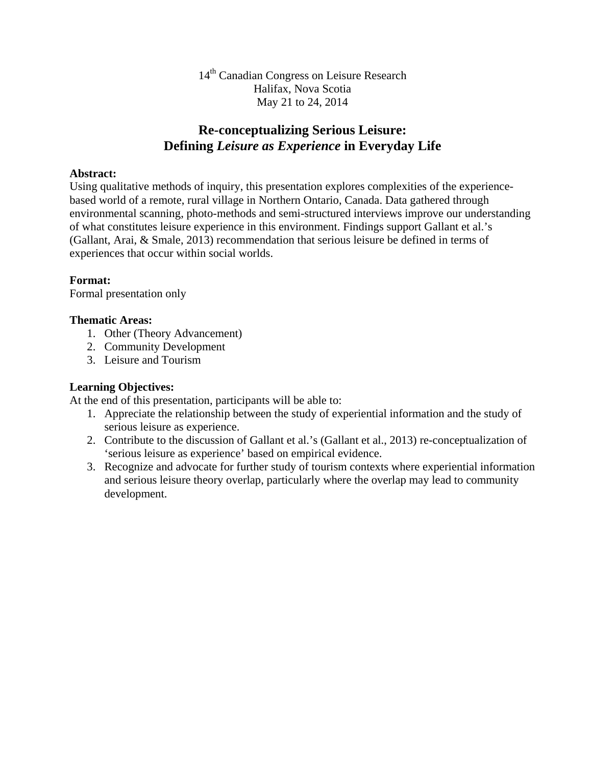14<sup>th</sup> Canadian Congress on Leisure Research Halifax, Nova Scotia May 21 to 24, 2014

## **Re-conceptualizing Serious Leisure: Defining** *Leisure as Experience* **in Everyday Life**

#### **Abstract:**

Using qualitative methods of inquiry, this presentation explores complexities of the experiencebased world of a remote, rural village in Northern Ontario, Canada. Data gathered through environmental scanning, photo-methods and semi-structured interviews improve our understanding of what constitutes leisure experience in this environment. Findings support Gallant et al.'s (Gallant, Arai, & Smale, 2013) recommendation that serious leisure be defined in terms of experiences that occur within social worlds.

#### **Format:**

Formal presentation only

#### **Thematic Areas:**

- 1. Other (Theory Advancement)
- 2. Community Development
- 3. Leisure and Tourism

### **Learning Objectives:**

At the end of this presentation, participants will be able to:

- 1. Appreciate the relationship between the study of experiential information and the study of serious leisure as experience.
- 2. Contribute to the discussion of Gallant et al.'s (Gallant et al., 2013) re-conceptualization of 'serious leisure as experience' based on empirical evidence.
- 3. Recognize and advocate for further study of tourism contexts where experiential information and serious leisure theory overlap, particularly where the overlap may lead to community development.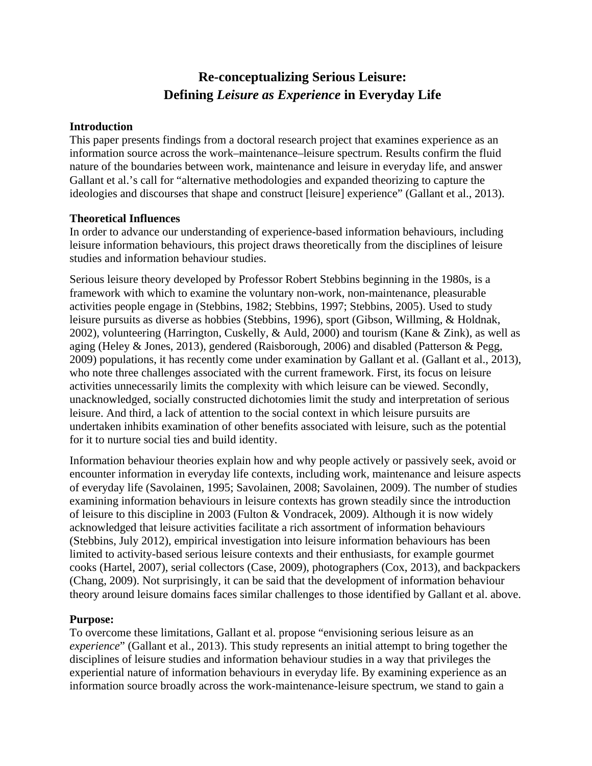# **Re-conceptualizing Serious Leisure: Defining** *Leisure as Experience* **in Everyday Life**

#### **Introduction**

This paper presents findings from a doctoral research project that examines experience as an information source across the work–maintenance–leisure spectrum. Results confirm the fluid nature of the boundaries between work, maintenance and leisure in everyday life, and answer Gallant et al.'s call for "alternative methodologies and expanded theorizing to capture the ideologies and discourses that shape and construct [leisure] experience" (Gallant et al., 2013).

#### **Theoretical Influences**

In order to advance our understanding of experience-based information behaviours, including leisure information behaviours, this project draws theoretically from the disciplines of leisure studies and information behaviour studies.

Serious leisure theory developed by Professor Robert Stebbins beginning in the 1980s, is a framework with which to examine the voluntary non-work, non-maintenance, pleasurable activities people engage in (Stebbins, 1982; Stebbins, 1997; Stebbins, 2005). Used to study leisure pursuits as diverse as hobbies (Stebbins, 1996), sport (Gibson, Willming, & Holdnak, 2002), volunteering (Harrington, Cuskelly, & Auld, 2000) and tourism (Kane & Zink), as well as aging (Heley & Jones, 2013), gendered (Raisborough, 2006) and disabled (Patterson & Pegg, 2009) populations, it has recently come under examination by Gallant et al. (Gallant et al., 2013), who note three challenges associated with the current framework. First, its focus on leisure activities unnecessarily limits the complexity with which leisure can be viewed. Secondly, unacknowledged, socially constructed dichotomies limit the study and interpretation of serious leisure. And third, a lack of attention to the social context in which leisure pursuits are undertaken inhibits examination of other benefits associated with leisure, such as the potential for it to nurture social ties and build identity.

Information behaviour theories explain how and why people actively or passively seek, avoid or encounter information in everyday life contexts, including work, maintenance and leisure aspects of everyday life (Savolainen, 1995; Savolainen, 2008; Savolainen, 2009). The number of studies examining information behaviours in leisure contexts has grown steadily since the introduction of leisure to this discipline in 2003 (Fulton & Vondracek, 2009). Although it is now widely acknowledged that leisure activities facilitate a rich assortment of information behaviours (Stebbins, July 2012), empirical investigation into leisure information behaviours has been limited to activity-based serious leisure contexts and their enthusiasts, for example gourmet cooks (Hartel, 2007), serial collectors (Case, 2009), photographers (Cox, 2013), and backpackers (Chang, 2009). Not surprisingly, it can be said that the development of information behaviour theory around leisure domains faces similar challenges to those identified by Gallant et al. above.

#### **Purpose:**

To overcome these limitations, Gallant et al. propose "envisioning serious leisure as an *experience*" (Gallant et al., 2013). This study represents an initial attempt to bring together the disciplines of leisure studies and information behaviour studies in a way that privileges the experiential nature of information behaviours in everyday life. By examining experience as an information source broadly across the work-maintenance-leisure spectrum, we stand to gain a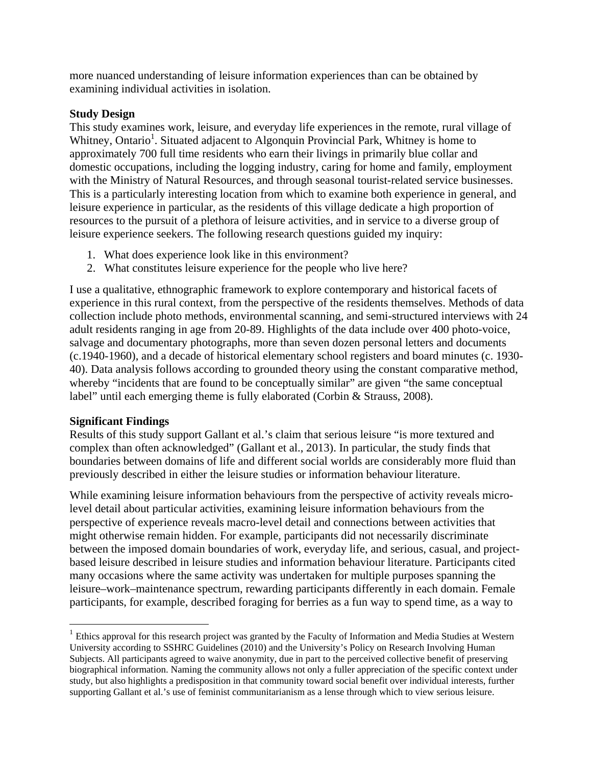more nuanced understanding of leisure information experiences than can be obtained by examining individual activities in isolation.

#### **Study Design**

This study examines work, leisure, and everyday life experiences in the remote, rural village of Whitney, Ontario<sup>1</sup>. Situated adjacent to Algonquin Provincial Park, Whitney is home to approximately 700 full time residents who earn their livings in primarily blue collar and domestic occupations, including the logging industry, caring for home and family, employment with the Ministry of Natural Resources, and through seasonal tourist-related service businesses. This is a particularly interesting location from which to examine both experience in general, and leisure experience in particular, as the residents of this village dedicate a high proportion of resources to the pursuit of a plethora of leisure activities, and in service to a diverse group of leisure experience seekers. The following research questions guided my inquiry:

- 1. What does experience look like in this environment?
- 2. What constitutes leisure experience for the people who live here?

I use a qualitative, ethnographic framework to explore contemporary and historical facets of experience in this rural context, from the perspective of the residents themselves. Methods of data collection include photo methods, environmental scanning, and semi-structured interviews with 24 adult residents ranging in age from 20-89. Highlights of the data include over 400 photo-voice, salvage and documentary photographs, more than seven dozen personal letters and documents (c.1940-1960), and a decade of historical elementary school registers and board minutes (c. 1930- 40). Data analysis follows according to grounded theory using the constant comparative method, whereby "incidents that are found to be conceptually similar" are given "the same conceptual label" until each emerging theme is fully elaborated (Corbin & Strauss, 2008).

## **Significant Findings**

Results of this study support Gallant et al.'s claim that serious leisure "is more textured and complex than often acknowledged" (Gallant et al., 2013). In particular, the study finds that boundaries between domains of life and different social worlds are considerably more fluid than previously described in either the leisure studies or information behaviour literature.

While examining leisure information behaviours from the perspective of activity reveals microlevel detail about particular activities, examining leisure information behaviours from the perspective of experience reveals macro-level detail and connections between activities that might otherwise remain hidden. For example, participants did not necessarily discriminate between the imposed domain boundaries of work, everyday life, and serious, casual, and projectbased leisure described in leisure studies and information behaviour literature. Participants cited many occasions where the same activity was undertaken for multiple purposes spanning the leisure–work–maintenance spectrum, rewarding participants differently in each domain. Female participants, for example, described foraging for berries as a fun way to spend time, as a way to

<sup>&</sup>lt;sup>1</sup> Ethics approval for this research project was granted by the Faculty of Information and Media Studies at Western University according to SSHRC Guidelines (2010) and the University's Policy on Research Involving Human Subjects. All participants agreed to waive anonymity, due in part to the perceived collective benefit of preserving biographical information. Naming the community allows not only a fuller appreciation of the specific context under study, but also highlights a predisposition in that community toward social benefit over individual interests, further supporting Gallant et al.'s use of feminist communitarianism as a lense through which to view serious leisure.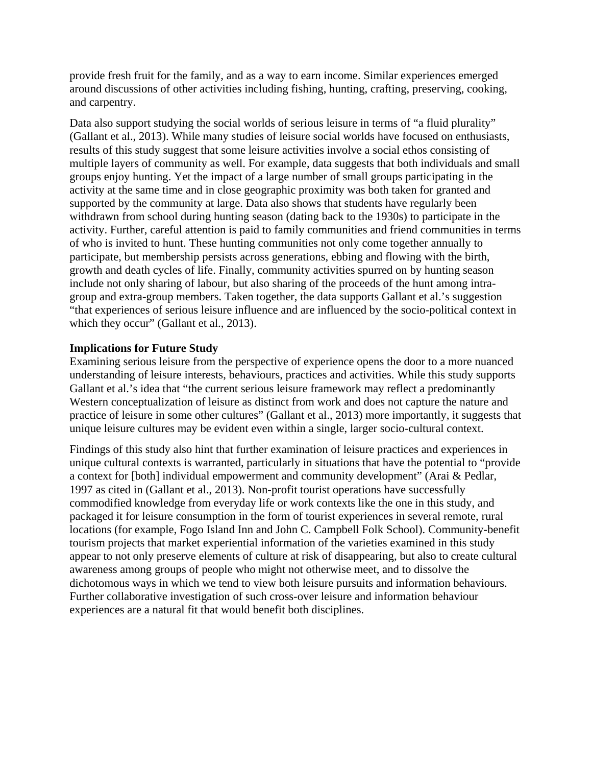provide fresh fruit for the family, and as a way to earn income. Similar experiences emerged around discussions of other activities including fishing, hunting, crafting, preserving, cooking, and carpentry.

Data also support studying the social worlds of serious leisure in terms of "a fluid plurality" (Gallant et al., 2013). While many studies of leisure social worlds have focused on enthusiasts, results of this study suggest that some leisure activities involve a social ethos consisting of multiple layers of community as well. For example, data suggests that both individuals and small groups enjoy hunting. Yet the impact of a large number of small groups participating in the activity at the same time and in close geographic proximity was both taken for granted and supported by the community at large. Data also shows that students have regularly been withdrawn from school during hunting season (dating back to the 1930s) to participate in the activity. Further, careful attention is paid to family communities and friend communities in terms of who is invited to hunt. These hunting communities not only come together annually to participate, but membership persists across generations, ebbing and flowing with the birth, growth and death cycles of life. Finally, community activities spurred on by hunting season include not only sharing of labour, but also sharing of the proceeds of the hunt among intragroup and extra-group members. Taken together, the data supports Gallant et al.'s suggestion "that experiences of serious leisure influence and are influenced by the socio-political context in which they occur" (Gallant et al., 2013).

#### **Implications for Future Study**

Examining serious leisure from the perspective of experience opens the door to a more nuanced understanding of leisure interests, behaviours, practices and activities. While this study supports Gallant et al.'s idea that "the current serious leisure framework may reflect a predominantly Western conceptualization of leisure as distinct from work and does not capture the nature and practice of leisure in some other cultures" (Gallant et al., 2013) more importantly, it suggests that unique leisure cultures may be evident even within a single, larger socio-cultural context.

Findings of this study also hint that further examination of leisure practices and experiences in unique cultural contexts is warranted, particularly in situations that have the potential to "provide a context for [both] individual empowerment and community development" (Arai & Pedlar, 1997 as cited in (Gallant et al., 2013). Non-profit tourist operations have successfully commodified knowledge from everyday life or work contexts like the one in this study, and packaged it for leisure consumption in the form of tourist experiences in several remote, rural locations (for example, Fogo Island Inn and John C. Campbell Folk School). Community-benefit tourism projects that market experiential information of the varieties examined in this study appear to not only preserve elements of culture at risk of disappearing, but also to create cultural awareness among groups of people who might not otherwise meet, and to dissolve the dichotomous ways in which we tend to view both leisure pursuits and information behaviours. Further collaborative investigation of such cross-over leisure and information behaviour experiences are a natural fit that would benefit both disciplines.